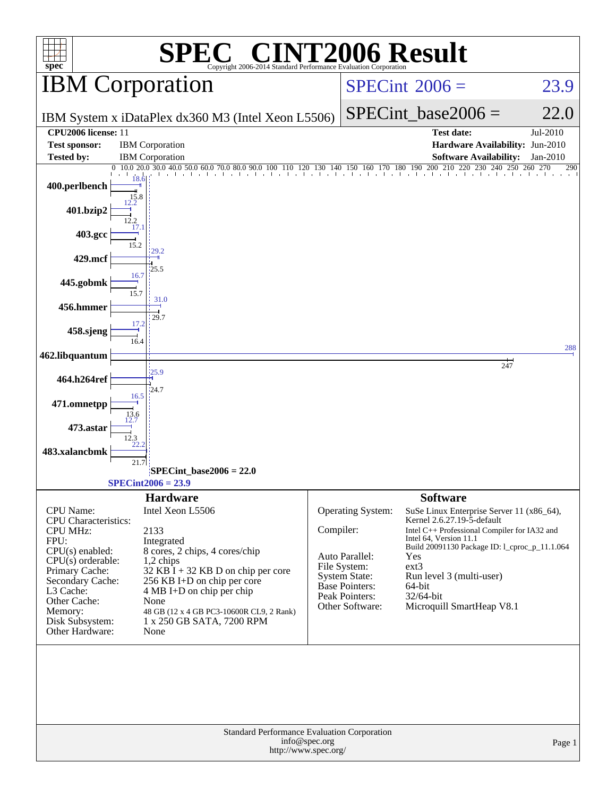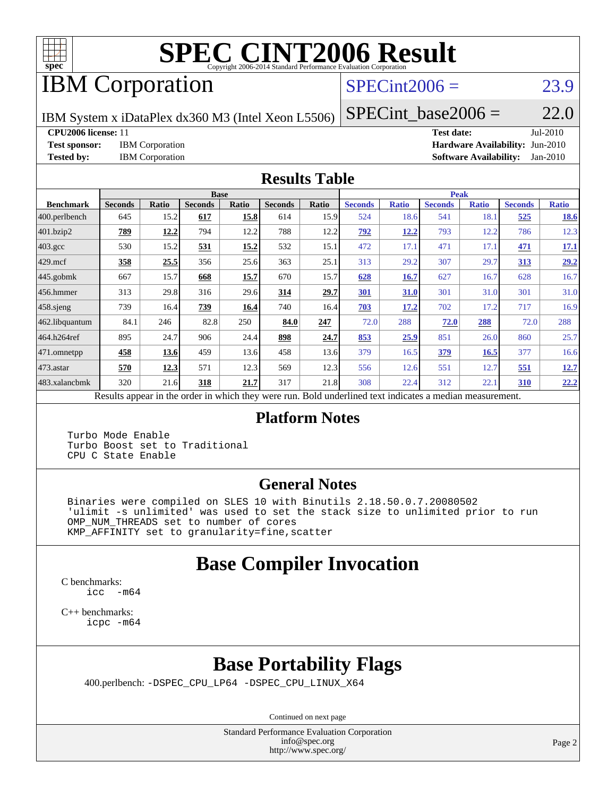

# **[SPEC CINT2006 Result](http://www.spec.org/auto/cpu2006/Docs/result-fields.html#SPECCINT2006Result)**

# IBM Corporation

## $SPECint2006 = 23.9$  $SPECint2006 = 23.9$

IBM System x iDataPlex dx360 M3 (Intel Xeon L5506)

 $SPECTnt\_base2006 = 22.0$ 

**[CPU2006 license:](http://www.spec.org/auto/cpu2006/Docs/result-fields.html#CPU2006license)** 11 **[Test date:](http://www.spec.org/auto/cpu2006/Docs/result-fields.html#Testdate)** Jul-2010

**[Test sponsor:](http://www.spec.org/auto/cpu2006/Docs/result-fields.html#Testsponsor)** IBM Corporation **[Hardware Availability:](http://www.spec.org/auto/cpu2006/Docs/result-fields.html#HardwareAvailability)** Jun-2010 **[Tested by:](http://www.spec.org/auto/cpu2006/Docs/result-fields.html#Testedby)** IBM Corporation **[Software Availability:](http://www.spec.org/auto/cpu2006/Docs/result-fields.html#SoftwareAvailability)** Jan-2010

#### **[Results Table](http://www.spec.org/auto/cpu2006/Docs/result-fields.html#ResultsTable)**

|                         |                                                                                                          |       | <b>Base</b>    |       |                |       |                |              | <b>Peak</b>    |              |                |              |
|-------------------------|----------------------------------------------------------------------------------------------------------|-------|----------------|-------|----------------|-------|----------------|--------------|----------------|--------------|----------------|--------------|
| <b>Benchmark</b>        | <b>Seconds</b>                                                                                           | Ratio | <b>Seconds</b> | Ratio | <b>Seconds</b> | Ratio | <b>Seconds</b> | <b>Ratio</b> | <b>Seconds</b> | <b>Ratio</b> | <b>Seconds</b> | <b>Ratio</b> |
| $ 400.\text{perlbench}$ | 645                                                                                                      | 15.2  | 617            | 15.8  | 614            | 15.9  | 524            | 18.6         | 541            | 18.1         | 525            | <u>18.6</u>  |
| 401.bzip2               | <u>789</u>                                                                                               | 12.2  | 794            | 12.2  | 788            | 12.2  | 792            | 12.2         | 793            | 12.2         | 786            | 12.3         |
| $403.\text{gcc}$        | 530                                                                                                      | 15.2  | 531            | 15.2  | 532            | 15.1  | 472            | 17.1         | 471            | 17.1         | 471            | 17.1         |
| $429$ mcf               | 358                                                                                                      | 25.5  | 356            | 25.6  | 363            | 25.1  | 313            | 29.2         | 307            | 29.7         | 313            | 29.2         |
| $445$ .gobmk            | 667                                                                                                      | 15.7  | 668            | 15.7  | 670            | 15.7  | 628            | 16.7         | 627            | 16.7         | 628            | 16.7         |
| $456.$ hmmer            | 313                                                                                                      | 29.8  | 316            | 29.6  | 314            | 29.7  | 301            | 31.0         | 301            | 31.0         | 301            | 31.0         |
| 458 sjeng               | 739                                                                                                      | 16.4  | 739            | 16.4  | 740            | 16.4  | 703            | 17.2         | 702            | 17.2         | 717            | 16.9         |
| 462.libquantum          | 84.1                                                                                                     | 246   | 82.8           | 250   | 84.0           | 247   | 72.0           | 288          | 72.0           | 288          | 72.0           | 288          |
| 464.h264ref             | 895                                                                                                      | 24.7  | 906            | 24.4  | 898            | 24.7  | 853            | 25.9         | 851            | 26.0         | 860            | 25.7         |
| 471.omnetpp             | 458                                                                                                      | 13.6  | 459            | 13.6  | 458            | 13.6  | 379            | 16.5         | 379            | 16.5         | 377            | 16.6         |
| $473$ . astar           | 570                                                                                                      | 12.3  | 571            | 12.3  | 569            | 12.3  | 556            | 12.6         | 551            | 12.7         | 551            | 12.7         |
| 483.xalancbmk           | 320                                                                                                      | 21.6  | 318            | 21.7  | 317            | 21.8  | 308            | 22.4         | 312            | 22.1         | <b>310</b>     | 22.2         |
|                         | Results appear in the order in which they were run. Bold underlined text indicates a median measurement. |       |                |       |                |       |                |              |                |              |                |              |

#### **[Platform Notes](http://www.spec.org/auto/cpu2006/Docs/result-fields.html#PlatformNotes)**

 Turbo Mode Enable Turbo Boost set to Traditional CPU C State Enable

### **[General Notes](http://www.spec.org/auto/cpu2006/Docs/result-fields.html#GeneralNotes)**

 Binaries were compiled on SLES 10 with Binutils 2.18.50.0.7.20080502 'ulimit -s unlimited' was used to set the stack size to unlimited prior to run OMP\_NUM\_THREADS set to number of cores KMP\_AFFINITY set to granularity=fine,scatter

# **[Base Compiler Invocation](http://www.spec.org/auto/cpu2006/Docs/result-fields.html#BaseCompilerInvocation)**

[C benchmarks](http://www.spec.org/auto/cpu2006/Docs/result-fields.html#Cbenchmarks): [icc -m64](http://www.spec.org/cpu2006/results/res2010q3/cpu2006-20100719-12481.flags.html#user_CCbase_intel_icc_64bit_f346026e86af2a669e726fe758c88044)

[C++ benchmarks:](http://www.spec.org/auto/cpu2006/Docs/result-fields.html#CXXbenchmarks) [icpc -m64](http://www.spec.org/cpu2006/results/res2010q3/cpu2006-20100719-12481.flags.html#user_CXXbase_intel_icpc_64bit_fc66a5337ce925472a5c54ad6a0de310)

# **[Base Portability Flags](http://www.spec.org/auto/cpu2006/Docs/result-fields.html#BasePortabilityFlags)**

400.perlbench: [-DSPEC\\_CPU\\_LP64](http://www.spec.org/cpu2006/results/res2010q3/cpu2006-20100719-12481.flags.html#b400.perlbench_basePORTABILITY_DSPEC_CPU_LP64) [-DSPEC\\_CPU\\_LINUX\\_X64](http://www.spec.org/cpu2006/results/res2010q3/cpu2006-20100719-12481.flags.html#b400.perlbench_baseCPORTABILITY_DSPEC_CPU_LINUX_X64)

Continued on next page

Standard Performance Evaluation Corporation [info@spec.org](mailto:info@spec.org) <http://www.spec.org/>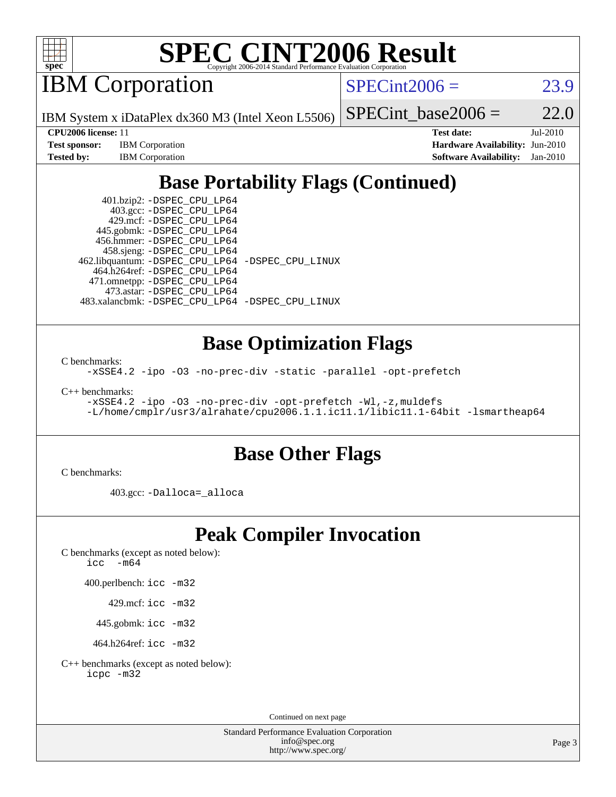

# **[SPEC CINT2006 Result](http://www.spec.org/auto/cpu2006/Docs/result-fields.html#SPECCINT2006Result)**

IBM Corporation

 $SPECint2006 = 23.9$  $SPECint2006 = 23.9$ 

IBM System x iDataPlex dx360 M3 (Intel Xeon L5506)

| <b>Test sponsor:</b> | <b>IBM</b> Corporation |
|----------------------|------------------------|
| Tested by:           | <b>IBM</b> Corporation |

SPECint base2006 =  $22.0$ **[CPU2006 license:](http://www.spec.org/auto/cpu2006/Docs/result-fields.html#CPU2006license)** 11 **[Test date:](http://www.spec.org/auto/cpu2006/Docs/result-fields.html#Testdate)** Jul-2010

> **[Hardware Availability:](http://www.spec.org/auto/cpu2006/Docs/result-fields.html#HardwareAvailability)** Jun-2010 **[Software Availability:](http://www.spec.org/auto/cpu2006/Docs/result-fields.html#SoftwareAvailability)** Jan-2010

# **[Base Portability Flags \(Continued\)](http://www.spec.org/auto/cpu2006/Docs/result-fields.html#BasePortabilityFlags)**

 401.bzip2: [-DSPEC\\_CPU\\_LP64](http://www.spec.org/cpu2006/results/res2010q3/cpu2006-20100719-12481.flags.html#suite_basePORTABILITY401_bzip2_DSPEC_CPU_LP64) 403.gcc: [-DSPEC\\_CPU\\_LP64](http://www.spec.org/cpu2006/results/res2010q3/cpu2006-20100719-12481.flags.html#suite_basePORTABILITY403_gcc_DSPEC_CPU_LP64) 429.mcf: [-DSPEC\\_CPU\\_LP64](http://www.spec.org/cpu2006/results/res2010q3/cpu2006-20100719-12481.flags.html#suite_basePORTABILITY429_mcf_DSPEC_CPU_LP64) 445.gobmk: [-DSPEC\\_CPU\\_LP64](http://www.spec.org/cpu2006/results/res2010q3/cpu2006-20100719-12481.flags.html#suite_basePORTABILITY445_gobmk_DSPEC_CPU_LP64) 456.hmmer: [-DSPEC\\_CPU\\_LP64](http://www.spec.org/cpu2006/results/res2010q3/cpu2006-20100719-12481.flags.html#suite_basePORTABILITY456_hmmer_DSPEC_CPU_LP64) 458.sjeng: [-DSPEC\\_CPU\\_LP64](http://www.spec.org/cpu2006/results/res2010q3/cpu2006-20100719-12481.flags.html#suite_basePORTABILITY458_sjeng_DSPEC_CPU_LP64) 462.libquantum: [-DSPEC\\_CPU\\_LP64](http://www.spec.org/cpu2006/results/res2010q3/cpu2006-20100719-12481.flags.html#suite_basePORTABILITY462_libquantum_DSPEC_CPU_LP64) [-DSPEC\\_CPU\\_LINUX](http://www.spec.org/cpu2006/results/res2010q3/cpu2006-20100719-12481.flags.html#b462.libquantum_baseCPORTABILITY_DSPEC_CPU_LINUX) 464.h264ref: [-DSPEC\\_CPU\\_LP64](http://www.spec.org/cpu2006/results/res2010q3/cpu2006-20100719-12481.flags.html#suite_basePORTABILITY464_h264ref_DSPEC_CPU_LP64) 471.omnetpp: [-DSPEC\\_CPU\\_LP64](http://www.spec.org/cpu2006/results/res2010q3/cpu2006-20100719-12481.flags.html#suite_basePORTABILITY471_omnetpp_DSPEC_CPU_LP64) 473.astar: [-DSPEC\\_CPU\\_LP64](http://www.spec.org/cpu2006/results/res2010q3/cpu2006-20100719-12481.flags.html#suite_basePORTABILITY473_astar_DSPEC_CPU_LP64) 483.xalancbmk: [-DSPEC\\_CPU\\_LP64](http://www.spec.org/cpu2006/results/res2010q3/cpu2006-20100719-12481.flags.html#suite_basePORTABILITY483_xalancbmk_DSPEC_CPU_LP64) [-DSPEC\\_CPU\\_LINUX](http://www.spec.org/cpu2006/results/res2010q3/cpu2006-20100719-12481.flags.html#b483.xalancbmk_baseCXXPORTABILITY_DSPEC_CPU_LINUX)

**[Base Optimization Flags](http://www.spec.org/auto/cpu2006/Docs/result-fields.html#BaseOptimizationFlags)**

[C benchmarks](http://www.spec.org/auto/cpu2006/Docs/result-fields.html#Cbenchmarks):

[-xSSE4.2](http://www.spec.org/cpu2006/results/res2010q3/cpu2006-20100719-12481.flags.html#user_CCbase_f-xSSE42_f91528193cf0b216347adb8b939d4107) [-ipo](http://www.spec.org/cpu2006/results/res2010q3/cpu2006-20100719-12481.flags.html#user_CCbase_f-ipo) [-O3](http://www.spec.org/cpu2006/results/res2010q3/cpu2006-20100719-12481.flags.html#user_CCbase_f-O3) [-no-prec-div](http://www.spec.org/cpu2006/results/res2010q3/cpu2006-20100719-12481.flags.html#user_CCbase_f-no-prec-div) [-static](http://www.spec.org/cpu2006/results/res2010q3/cpu2006-20100719-12481.flags.html#user_CCbase_f-static) [-parallel](http://www.spec.org/cpu2006/results/res2010q3/cpu2006-20100719-12481.flags.html#user_CCbase_f-parallel) [-opt-prefetch](http://www.spec.org/cpu2006/results/res2010q3/cpu2006-20100719-12481.flags.html#user_CCbase_f-opt-prefetch)

[C++ benchmarks:](http://www.spec.org/auto/cpu2006/Docs/result-fields.html#CXXbenchmarks)

```
-xSSE4.2 -ipo -O3 -no-prec-div -opt-prefetch -Wl,-z,muldefs
-L/home/cmplr/usr3/alrahate/cpu2006.1.1.ic11.1/libic11.1-64bit -lsmartheap64
```
# **[Base Other Flags](http://www.spec.org/auto/cpu2006/Docs/result-fields.html#BaseOtherFlags)**

[C benchmarks](http://www.spec.org/auto/cpu2006/Docs/result-fields.html#Cbenchmarks):

403.gcc: [-Dalloca=\\_alloca](http://www.spec.org/cpu2006/results/res2010q3/cpu2006-20100719-12481.flags.html#b403.gcc_baseEXTRA_CFLAGS_Dalloca_be3056838c12de2578596ca5467af7f3)

## **[Peak Compiler Invocation](http://www.spec.org/auto/cpu2006/Docs/result-fields.html#PeakCompilerInvocation)**

[C benchmarks \(except as noted below\)](http://www.spec.org/auto/cpu2006/Docs/result-fields.html#Cbenchmarksexceptasnotedbelow): [icc -m64](http://www.spec.org/cpu2006/results/res2010q3/cpu2006-20100719-12481.flags.html#user_CCpeak_intel_icc_64bit_f346026e86af2a669e726fe758c88044)

400.perlbench: [icc -m32](http://www.spec.org/cpu2006/results/res2010q3/cpu2006-20100719-12481.flags.html#user_peakCCLD400_perlbench_intel_icc_32bit_a6a621f8d50482236b970c6ac5f55f93)

429.mcf: [icc -m32](http://www.spec.org/cpu2006/results/res2010q3/cpu2006-20100719-12481.flags.html#user_peakCCLD429_mcf_intel_icc_32bit_a6a621f8d50482236b970c6ac5f55f93)

445.gobmk: [icc -m32](http://www.spec.org/cpu2006/results/res2010q3/cpu2006-20100719-12481.flags.html#user_peakCCLD445_gobmk_intel_icc_32bit_a6a621f8d50482236b970c6ac5f55f93)

464.h264ref: [icc -m32](http://www.spec.org/cpu2006/results/res2010q3/cpu2006-20100719-12481.flags.html#user_peakCCLD464_h264ref_intel_icc_32bit_a6a621f8d50482236b970c6ac5f55f93)

[C++ benchmarks \(except as noted below\):](http://www.spec.org/auto/cpu2006/Docs/result-fields.html#CXXbenchmarksexceptasnotedbelow) [icpc -m32](http://www.spec.org/cpu2006/results/res2010q3/cpu2006-20100719-12481.flags.html#user_CXXpeak_intel_icpc_32bit_4e5a5ef1a53fd332b3c49e69c3330699)

Continued on next page

Standard Performance Evaluation Corporation [info@spec.org](mailto:info@spec.org) <http://www.spec.org/>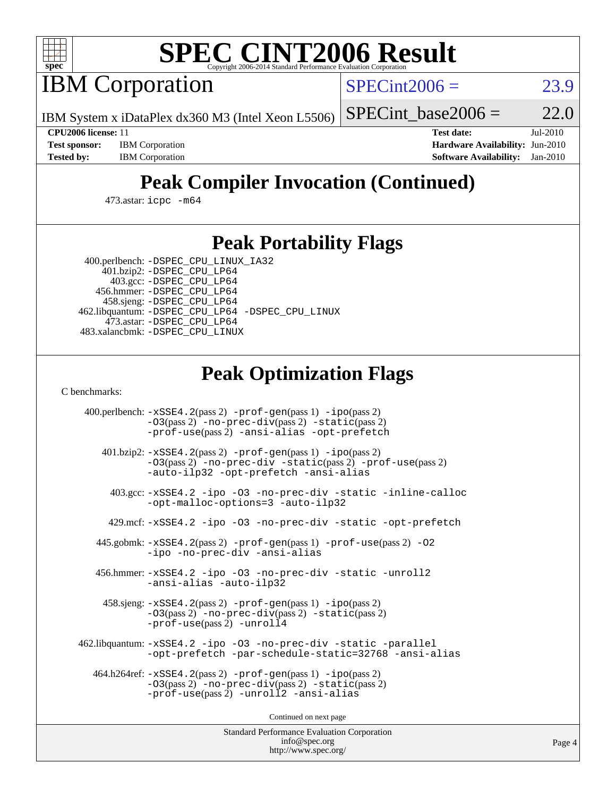

# **[SPEC CINT2006 Result](http://www.spec.org/auto/cpu2006/Docs/result-fields.html#SPECCINT2006Result)**

IBM Corporation

 $SPECint2006 = 23.9$  $SPECint2006 = 23.9$ 

IBM System x iDataPlex dx360 M3 (Intel Xeon L5506)

SPECint base2006 =  $22.0$ 

**[Test sponsor:](http://www.spec.org/auto/cpu2006/Docs/result-fields.html#Testsponsor)** IBM Corporation **[Hardware Availability:](http://www.spec.org/auto/cpu2006/Docs/result-fields.html#HardwareAvailability)** Jun-2010

**[CPU2006 license:](http://www.spec.org/auto/cpu2006/Docs/result-fields.html#CPU2006license)** 11 **[Test date:](http://www.spec.org/auto/cpu2006/Docs/result-fields.html#Testdate)** Jul-2010 **[Tested by:](http://www.spec.org/auto/cpu2006/Docs/result-fields.html#Testedby)** IBM Corporation **[Software Availability:](http://www.spec.org/auto/cpu2006/Docs/result-fields.html#SoftwareAvailability)** Jan-2010

# **[Peak Compiler Invocation \(Continued\)](http://www.spec.org/auto/cpu2006/Docs/result-fields.html#PeakCompilerInvocation)**

473.astar: [icpc -m64](http://www.spec.org/cpu2006/results/res2010q3/cpu2006-20100719-12481.flags.html#user_peakCXXLD473_astar_intel_icpc_64bit_fc66a5337ce925472a5c54ad6a0de310)

### **[Peak Portability Flags](http://www.spec.org/auto/cpu2006/Docs/result-fields.html#PeakPortabilityFlags)**

 400.perlbench: [-DSPEC\\_CPU\\_LINUX\\_IA32](http://www.spec.org/cpu2006/results/res2010q3/cpu2006-20100719-12481.flags.html#b400.perlbench_peakCPORTABILITY_DSPEC_CPU_LINUX_IA32) 401.bzip2: [-DSPEC\\_CPU\\_LP64](http://www.spec.org/cpu2006/results/res2010q3/cpu2006-20100719-12481.flags.html#suite_peakPORTABILITY401_bzip2_DSPEC_CPU_LP64)

 403.gcc: [-DSPEC\\_CPU\\_LP64](http://www.spec.org/cpu2006/results/res2010q3/cpu2006-20100719-12481.flags.html#suite_peakPORTABILITY403_gcc_DSPEC_CPU_LP64) 456.hmmer: [-DSPEC\\_CPU\\_LP64](http://www.spec.org/cpu2006/results/res2010q3/cpu2006-20100719-12481.flags.html#suite_peakPORTABILITY456_hmmer_DSPEC_CPU_LP64) 458.sjeng: [-DSPEC\\_CPU\\_LP64](http://www.spec.org/cpu2006/results/res2010q3/cpu2006-20100719-12481.flags.html#suite_peakPORTABILITY458_sjeng_DSPEC_CPU_LP64) 462.libquantum: [-DSPEC\\_CPU\\_LP64](http://www.spec.org/cpu2006/results/res2010q3/cpu2006-20100719-12481.flags.html#suite_peakPORTABILITY462_libquantum_DSPEC_CPU_LP64) [-DSPEC\\_CPU\\_LINUX](http://www.spec.org/cpu2006/results/res2010q3/cpu2006-20100719-12481.flags.html#b462.libquantum_peakCPORTABILITY_DSPEC_CPU_LINUX) 473.astar: [-DSPEC\\_CPU\\_LP64](http://www.spec.org/cpu2006/results/res2010q3/cpu2006-20100719-12481.flags.html#suite_peakPORTABILITY473_astar_DSPEC_CPU_LP64) 483.xalancbmk: [-DSPEC\\_CPU\\_LINUX](http://www.spec.org/cpu2006/results/res2010q3/cpu2006-20100719-12481.flags.html#b483.xalancbmk_peakCXXPORTABILITY_DSPEC_CPU_LINUX)

# **[Peak Optimization Flags](http://www.spec.org/auto/cpu2006/Docs/result-fields.html#PeakOptimizationFlags)**

[C benchmarks](http://www.spec.org/auto/cpu2006/Docs/result-fields.html#Cbenchmarks):

 400.perlbench: [-xSSE4.2](http://www.spec.org/cpu2006/results/res2010q3/cpu2006-20100719-12481.flags.html#user_peakPASS2_CFLAGSPASS2_LDCFLAGS400_perlbench_f-xSSE42_f91528193cf0b216347adb8b939d4107)(pass 2) [-prof-gen](http://www.spec.org/cpu2006/results/res2010q3/cpu2006-20100719-12481.flags.html#user_peakPASS1_CFLAGSPASS1_LDCFLAGS400_perlbench_prof_gen_e43856698f6ca7b7e442dfd80e94a8fc)(pass 1) [-ipo](http://www.spec.org/cpu2006/results/res2010q3/cpu2006-20100719-12481.flags.html#user_peakPASS2_CFLAGSPASS2_LDCFLAGS400_perlbench_f-ipo)(pass 2) [-O3](http://www.spec.org/cpu2006/results/res2010q3/cpu2006-20100719-12481.flags.html#user_peakPASS2_CFLAGSPASS2_LDCFLAGS400_perlbench_f-O3)(pass 2) [-no-prec-div](http://www.spec.org/cpu2006/results/res2010q3/cpu2006-20100719-12481.flags.html#user_peakPASS2_CFLAGSPASS2_LDCFLAGS400_perlbench_f-no-prec-div)(pass 2) [-static](http://www.spec.org/cpu2006/results/res2010q3/cpu2006-20100719-12481.flags.html#user_peakPASS2_CFLAGSPASS2_LDCFLAGS400_perlbench_f-static)(pass 2) [-prof-use](http://www.spec.org/cpu2006/results/res2010q3/cpu2006-20100719-12481.flags.html#user_peakPASS2_CFLAGSPASS2_LDCFLAGS400_perlbench_prof_use_bccf7792157ff70d64e32fe3e1250b55)(pass 2) [-ansi-alias](http://www.spec.org/cpu2006/results/res2010q3/cpu2006-20100719-12481.flags.html#user_peakCOPTIMIZE400_perlbench_f-ansi-alias) [-opt-prefetch](http://www.spec.org/cpu2006/results/res2010q3/cpu2006-20100719-12481.flags.html#user_peakCOPTIMIZE400_perlbench_f-opt-prefetch) 401.bzip2: [-xSSE4.2](http://www.spec.org/cpu2006/results/res2010q3/cpu2006-20100719-12481.flags.html#user_peakPASS2_CFLAGSPASS2_LDCFLAGS401_bzip2_f-xSSE42_f91528193cf0b216347adb8b939d4107)(pass 2) [-prof-gen](http://www.spec.org/cpu2006/results/res2010q3/cpu2006-20100719-12481.flags.html#user_peakPASS1_CFLAGSPASS1_LDCFLAGS401_bzip2_prof_gen_e43856698f6ca7b7e442dfd80e94a8fc)(pass 1) [-ipo](http://www.spec.org/cpu2006/results/res2010q3/cpu2006-20100719-12481.flags.html#user_peakPASS2_CFLAGSPASS2_LDCFLAGS401_bzip2_f-ipo)(pass 2) [-O3](http://www.spec.org/cpu2006/results/res2010q3/cpu2006-20100719-12481.flags.html#user_peakPASS2_CFLAGSPASS2_LDCFLAGS401_bzip2_f-O3)(pass 2) [-no-prec-div](http://www.spec.org/cpu2006/results/res2010q3/cpu2006-20100719-12481.flags.html#user_peakCOPTIMIZEPASS2_CFLAGSPASS2_LDCFLAGS401_bzip2_f-no-prec-div) [-static](http://www.spec.org/cpu2006/results/res2010q3/cpu2006-20100719-12481.flags.html#user_peakPASS2_CFLAGSPASS2_LDCFLAGS401_bzip2_f-static)(pass 2) [-prof-use](http://www.spec.org/cpu2006/results/res2010q3/cpu2006-20100719-12481.flags.html#user_peakPASS2_CFLAGSPASS2_LDCFLAGS401_bzip2_prof_use_bccf7792157ff70d64e32fe3e1250b55)(pass 2) [-auto-ilp32](http://www.spec.org/cpu2006/results/res2010q3/cpu2006-20100719-12481.flags.html#user_peakCOPTIMIZE401_bzip2_f-auto-ilp32) [-opt-prefetch](http://www.spec.org/cpu2006/results/res2010q3/cpu2006-20100719-12481.flags.html#user_peakCOPTIMIZE401_bzip2_f-opt-prefetch) [-ansi-alias](http://www.spec.org/cpu2006/results/res2010q3/cpu2006-20100719-12481.flags.html#user_peakCOPTIMIZE401_bzip2_f-ansi-alias) 403.gcc: [-xSSE4.2](http://www.spec.org/cpu2006/results/res2010q3/cpu2006-20100719-12481.flags.html#user_peakCOPTIMIZE403_gcc_f-xSSE42_f91528193cf0b216347adb8b939d4107) [-ipo](http://www.spec.org/cpu2006/results/res2010q3/cpu2006-20100719-12481.flags.html#user_peakCOPTIMIZE403_gcc_f-ipo) [-O3](http://www.spec.org/cpu2006/results/res2010q3/cpu2006-20100719-12481.flags.html#user_peakCOPTIMIZE403_gcc_f-O3) [-no-prec-div](http://www.spec.org/cpu2006/results/res2010q3/cpu2006-20100719-12481.flags.html#user_peakCOPTIMIZE403_gcc_f-no-prec-div) [-static](http://www.spec.org/cpu2006/results/res2010q3/cpu2006-20100719-12481.flags.html#user_peakCOPTIMIZE403_gcc_f-static) [-inline-calloc](http://www.spec.org/cpu2006/results/res2010q3/cpu2006-20100719-12481.flags.html#user_peakCOPTIMIZE403_gcc_f-inline-calloc) [-opt-malloc-options=3](http://www.spec.org/cpu2006/results/res2010q3/cpu2006-20100719-12481.flags.html#user_peakCOPTIMIZE403_gcc_f-opt-malloc-options_13ab9b803cf986b4ee62f0a5998c2238) [-auto-ilp32](http://www.spec.org/cpu2006/results/res2010q3/cpu2006-20100719-12481.flags.html#user_peakCOPTIMIZE403_gcc_f-auto-ilp32) 429.mcf: [-xSSE4.2](http://www.spec.org/cpu2006/results/res2010q3/cpu2006-20100719-12481.flags.html#user_peakCOPTIMIZE429_mcf_f-xSSE42_f91528193cf0b216347adb8b939d4107) [-ipo](http://www.spec.org/cpu2006/results/res2010q3/cpu2006-20100719-12481.flags.html#user_peakCOPTIMIZE429_mcf_f-ipo) [-O3](http://www.spec.org/cpu2006/results/res2010q3/cpu2006-20100719-12481.flags.html#user_peakCOPTIMIZE429_mcf_f-O3) [-no-prec-div](http://www.spec.org/cpu2006/results/res2010q3/cpu2006-20100719-12481.flags.html#user_peakCOPTIMIZE429_mcf_f-no-prec-div) [-static](http://www.spec.org/cpu2006/results/res2010q3/cpu2006-20100719-12481.flags.html#user_peakCOPTIMIZE429_mcf_f-static) [-opt-prefetch](http://www.spec.org/cpu2006/results/res2010q3/cpu2006-20100719-12481.flags.html#user_peakCOPTIMIZE429_mcf_f-opt-prefetch) 445.gobmk: [-xSSE4.2](http://www.spec.org/cpu2006/results/res2010q3/cpu2006-20100719-12481.flags.html#user_peakPASS2_CFLAGSPASS2_LDCFLAGS445_gobmk_f-xSSE42_f91528193cf0b216347adb8b939d4107)(pass 2) [-prof-gen](http://www.spec.org/cpu2006/results/res2010q3/cpu2006-20100719-12481.flags.html#user_peakPASS1_CFLAGSPASS1_LDCFLAGS445_gobmk_prof_gen_e43856698f6ca7b7e442dfd80e94a8fc)(pass 1) [-prof-use](http://www.spec.org/cpu2006/results/res2010q3/cpu2006-20100719-12481.flags.html#user_peakPASS2_CFLAGSPASS2_LDCFLAGS445_gobmk_prof_use_bccf7792157ff70d64e32fe3e1250b55)(pass 2) [-O2](http://www.spec.org/cpu2006/results/res2010q3/cpu2006-20100719-12481.flags.html#user_peakCOPTIMIZE445_gobmk_f-O2) [-ipo](http://www.spec.org/cpu2006/results/res2010q3/cpu2006-20100719-12481.flags.html#user_peakCOPTIMIZE445_gobmk_f-ipo) [-no-prec-div](http://www.spec.org/cpu2006/results/res2010q3/cpu2006-20100719-12481.flags.html#user_peakCOPTIMIZE445_gobmk_f-no-prec-div) [-ansi-alias](http://www.spec.org/cpu2006/results/res2010q3/cpu2006-20100719-12481.flags.html#user_peakCOPTIMIZE445_gobmk_f-ansi-alias) 456.hmmer: [-xSSE4.2](http://www.spec.org/cpu2006/results/res2010q3/cpu2006-20100719-12481.flags.html#user_peakCOPTIMIZE456_hmmer_f-xSSE42_f91528193cf0b216347adb8b939d4107) [-ipo](http://www.spec.org/cpu2006/results/res2010q3/cpu2006-20100719-12481.flags.html#user_peakCOPTIMIZE456_hmmer_f-ipo) [-O3](http://www.spec.org/cpu2006/results/res2010q3/cpu2006-20100719-12481.flags.html#user_peakCOPTIMIZE456_hmmer_f-O3) [-no-prec-div](http://www.spec.org/cpu2006/results/res2010q3/cpu2006-20100719-12481.flags.html#user_peakCOPTIMIZE456_hmmer_f-no-prec-div) [-static](http://www.spec.org/cpu2006/results/res2010q3/cpu2006-20100719-12481.flags.html#user_peakCOPTIMIZE456_hmmer_f-static) [-unroll2](http://www.spec.org/cpu2006/results/res2010q3/cpu2006-20100719-12481.flags.html#user_peakCOPTIMIZE456_hmmer_f-unroll_784dae83bebfb236979b41d2422d7ec2) [-ansi-alias](http://www.spec.org/cpu2006/results/res2010q3/cpu2006-20100719-12481.flags.html#user_peakCOPTIMIZE456_hmmer_f-ansi-alias) [-auto-ilp32](http://www.spec.org/cpu2006/results/res2010q3/cpu2006-20100719-12481.flags.html#user_peakCOPTIMIZE456_hmmer_f-auto-ilp32) 458.sjeng: [-xSSE4.2](http://www.spec.org/cpu2006/results/res2010q3/cpu2006-20100719-12481.flags.html#user_peakPASS2_CFLAGSPASS2_LDCFLAGS458_sjeng_f-xSSE42_f91528193cf0b216347adb8b939d4107)(pass 2) [-prof-gen](http://www.spec.org/cpu2006/results/res2010q3/cpu2006-20100719-12481.flags.html#user_peakPASS1_CFLAGSPASS1_LDCFLAGS458_sjeng_prof_gen_e43856698f6ca7b7e442dfd80e94a8fc)(pass 1) [-ipo](http://www.spec.org/cpu2006/results/res2010q3/cpu2006-20100719-12481.flags.html#user_peakPASS2_CFLAGSPASS2_LDCFLAGS458_sjeng_f-ipo)(pass 2) [-O3](http://www.spec.org/cpu2006/results/res2010q3/cpu2006-20100719-12481.flags.html#user_peakPASS2_CFLAGSPASS2_LDCFLAGS458_sjeng_f-O3)(pass 2) [-no-prec-div](http://www.spec.org/cpu2006/results/res2010q3/cpu2006-20100719-12481.flags.html#user_peakPASS2_CFLAGSPASS2_LDCFLAGS458_sjeng_f-no-prec-div)(pass 2) [-static](http://www.spec.org/cpu2006/results/res2010q3/cpu2006-20100719-12481.flags.html#user_peakPASS2_CFLAGSPASS2_LDCFLAGS458_sjeng_f-static)(pass 2) [-prof-use](http://www.spec.org/cpu2006/results/res2010q3/cpu2006-20100719-12481.flags.html#user_peakPASS2_CFLAGSPASS2_LDCFLAGS458_sjeng_prof_use_bccf7792157ff70d64e32fe3e1250b55)(pass 2) [-unroll4](http://www.spec.org/cpu2006/results/res2010q3/cpu2006-20100719-12481.flags.html#user_peakCOPTIMIZE458_sjeng_f-unroll_4e5e4ed65b7fd20bdcd365bec371b81f) 462.libquantum: [-xSSE4.2](http://www.spec.org/cpu2006/results/res2010q3/cpu2006-20100719-12481.flags.html#user_peakCOPTIMIZE462_libquantum_f-xSSE42_f91528193cf0b216347adb8b939d4107) [-ipo](http://www.spec.org/cpu2006/results/res2010q3/cpu2006-20100719-12481.flags.html#user_peakCOPTIMIZE462_libquantum_f-ipo) [-O3](http://www.spec.org/cpu2006/results/res2010q3/cpu2006-20100719-12481.flags.html#user_peakCOPTIMIZE462_libquantum_f-O3) [-no-prec-div](http://www.spec.org/cpu2006/results/res2010q3/cpu2006-20100719-12481.flags.html#user_peakCOPTIMIZE462_libquantum_f-no-prec-div) [-static](http://www.spec.org/cpu2006/results/res2010q3/cpu2006-20100719-12481.flags.html#user_peakCOPTIMIZE462_libquantum_f-static) [-parallel](http://www.spec.org/cpu2006/results/res2010q3/cpu2006-20100719-12481.flags.html#user_peakCOPTIMIZE462_libquantum_f-parallel) [-opt-prefetch](http://www.spec.org/cpu2006/results/res2010q3/cpu2006-20100719-12481.flags.html#user_peakCOPTIMIZE462_libquantum_f-opt-prefetch) [-par-schedule-static=32768](http://www.spec.org/cpu2006/results/res2010q3/cpu2006-20100719-12481.flags.html#user_peakCOPTIMIZE462_libquantum_f-par-schedule_9386bcd99ba64e99ee01d1aafefddd14) [-ansi-alias](http://www.spec.org/cpu2006/results/res2010q3/cpu2006-20100719-12481.flags.html#user_peakCOPTIMIZE462_libquantum_f-ansi-alias) 464.h264ref: [-xSSE4.2](http://www.spec.org/cpu2006/results/res2010q3/cpu2006-20100719-12481.flags.html#user_peakPASS2_CFLAGSPASS2_LDCFLAGS464_h264ref_f-xSSE42_f91528193cf0b216347adb8b939d4107)(pass 2) [-prof-gen](http://www.spec.org/cpu2006/results/res2010q3/cpu2006-20100719-12481.flags.html#user_peakPASS1_CFLAGSPASS1_LDCFLAGS464_h264ref_prof_gen_e43856698f6ca7b7e442dfd80e94a8fc)(pass 1) [-ipo](http://www.spec.org/cpu2006/results/res2010q3/cpu2006-20100719-12481.flags.html#user_peakPASS2_CFLAGSPASS2_LDCFLAGS464_h264ref_f-ipo)(pass 2) [-O3](http://www.spec.org/cpu2006/results/res2010q3/cpu2006-20100719-12481.flags.html#user_peakPASS2_CFLAGSPASS2_LDCFLAGS464_h264ref_f-O3)(pass 2) [-no-prec-div](http://www.spec.org/cpu2006/results/res2010q3/cpu2006-20100719-12481.flags.html#user_peakPASS2_CFLAGSPASS2_LDCFLAGS464_h264ref_f-no-prec-div)(pass 2) [-static](http://www.spec.org/cpu2006/results/res2010q3/cpu2006-20100719-12481.flags.html#user_peakPASS2_CFLAGSPASS2_LDCFLAGS464_h264ref_f-static)(pass 2) [-prof-use](http://www.spec.org/cpu2006/results/res2010q3/cpu2006-20100719-12481.flags.html#user_peakPASS2_CFLAGSPASS2_LDCFLAGS464_h264ref_prof_use_bccf7792157ff70d64e32fe3e1250b55)(pass 2) [-unroll2](http://www.spec.org/cpu2006/results/res2010q3/cpu2006-20100719-12481.flags.html#user_peakCOPTIMIZE464_h264ref_f-unroll_784dae83bebfb236979b41d2422d7ec2) [-ansi-alias](http://www.spec.org/cpu2006/results/res2010q3/cpu2006-20100719-12481.flags.html#user_peakCOPTIMIZE464_h264ref_f-ansi-alias)

Continued on next page

Standard Performance Evaluation Corporation [info@spec.org](mailto:info@spec.org) <http://www.spec.org/>